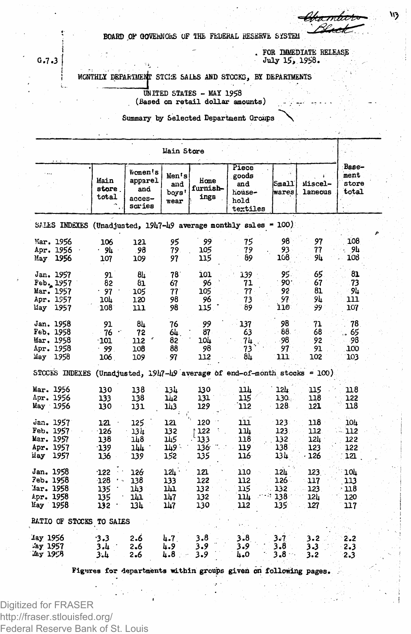BOARD OF GOVERNORS OF THE FEDERAL RESERVE SYSTEM

. FOR IMMEDIATE RELEASE<br>July 15, 1958.

MONTHLY DEPARTMENT STCKE SALES AND STOCKS, BY DEPARTMENTS

UNITED STATES - MAY 1958 (Based on retail dollar amounts)

Summary by Selected Department Groups

| Hain Store                                                          |                                              |                                                  |                                   |                                 |                                                            |                                   |                                 |                                 |  |  |  |  |  |
|---------------------------------------------------------------------|----------------------------------------------|--------------------------------------------------|-----------------------------------|---------------------------------|------------------------------------------------------------|-----------------------------------|---------------------------------|---------------------------------|--|--|--|--|--|
|                                                                     | Main<br>store.<br>total                      | Women's<br>apparel<br>and<br>$access-$<br>sories | Men's<br>and<br>boys'<br>wear     | Home<br>furnish-<br>ings        | Piece<br>goods<br>and<br>house-<br>hold<br>textiles        | Small<br>wares                    | Miscel-<br>laneous              | Base-<br>ment<br>store<br>total |  |  |  |  |  |
| SALES INDEXES (Unadjusted, $1947 - 49$ average monthly sales = 100) |                                              |                                                  |                                   |                                 |                                                            |                                   |                                 |                                 |  |  |  |  |  |
| Mar. 1956<br>Apr. 1956<br>May<br>1956                               | 106<br>. 94<br>107                           | 121<br>- 98<br>109                               | 95<br>79<br>97                    | 99<br>105<br>115                | 75<br>79<br>89                                             | 98<br>93<br>108                   | 97<br>77<br>94                  | 108<br>9Ŀ<br>108                |  |  |  |  |  |
| Jan. 1957<br>Feb. 1957<br>Mar. 1957<br>Apr. 1957<br>May<br>1957     | 91<br>82<br>97<br>10F<br>108                 | 84<br>81<br>105<br>120<br>נננ                    | 78.<br>67<br>77<br>98<br>98       | 101<br>96<br>105<br>96<br>115   | 139<br>71<br>77<br>73<br>89                                | 95.<br>90.<br>92<br>97<br>110     | 65<br>67<br>81<br>9և<br>99      | 81<br>73<br>94<br>111<br>107.   |  |  |  |  |  |
| Jan. 1958<br>Feb. 1958<br>Mar. 1958<br>Apr. 1958<br>May<br>1958     | 91<br>76<br>101<br>-99.<br>106               | 84<br>72<br>112<br>108<br>109                    | 76<br>64.<br>82<br>88<br>97       | 99<br>87<br>104<br>98<br>112    | 137<br>63<br>7Ц<br>73<br>84                                | 98<br>88.<br>98<br>97<br>111      | 71<br>68<br>92<br>91<br>102     | 78<br>65<br>-98<br>100<br>103   |  |  |  |  |  |
| <b>STOCKS INDEXES</b>                                               |                                              |                                                  |                                   |                                 | (Unadjusted, 1947-49 average of end-of-month stocks = 100) |                                   |                                 |                                 |  |  |  |  |  |
| Mar. 1956<br>Apr. 1956<br>May 1956                                  | 130<br>133<br>130                            | 138<br>138<br>131                                | 13h<br>1ù2<br>143                 | 130<br>131<br>129               | ıı<br>115<br>112                                           | 12h<br>130.<br>128.               | 115<br>118<br>121               | 118<br>122<br>118               |  |  |  |  |  |
| Jan. 1957<br>Feb. 1957<br>Mar. 1957<br>Apr. 1957<br>1957<br>iiay    | 121<br>$-126$<br>138<br>$-139$<br>136        | 125<br>13 lı<br>148<br>144<br>139                | 121<br>132<br>145<br>∴ 149<br>152 | 120<br>122<br>133<br>136<br>135 | 111<br><u>גרב</u><br>118<br>119<br>116                     | 123.<br>123.<br>132<br>138<br>134 | 118<br>112<br>124<br>123<br>126 | 10h<br>112<br>122<br>122<br>121 |  |  |  |  |  |
| Jan. 1958<br>7eb. 1958<br>'Jar. 1958<br>Apr. 1958<br>1958<br>May 1  | $-122$<br>$-128$<br>٠.,<br>135<br>135<br>132 | 126<br>138<br>143<br>ı'n<br>134                  | 12L<br>133<br>m<br>147<br>147     | 121<br>122<br>132<br>132<br>130 | 110<br>112<br>115<br>ענב<br>112                            | 12h<br>126 -<br>132<br>138<br>135 | 123<br>117<br>123<br>12L<br>127 | 10L<br>113<br>118<br>120<br>117 |  |  |  |  |  |
| RATIO OF STOCKS TO SALES                                            |                                              |                                                  |                                   |                                 |                                                            |                                   |                                 |                                 |  |  |  |  |  |
| lay 1956<br>Jay 1957<br>Jey 1958                                    | 3.3<br>3.4<br>3.4                            | 2.6<br>2.6<br>2.6                                | 4.7.<br>4.9<br>4.8                | 3.8<br>3.9<br>3.9               | $3 - 8$<br>3.9<br>4.0                                      | 3.7<br>3.8<br>3,8                 | 3.2<br>3.3<br>3.2               | 2.2<br>2.3<br>2.3               |  |  |  |  |  |

Figures for departments within groups given on following pages.

 $G.7.3$ 

Digitized for FRASER http://fraser.stlouisfed.org/ Federal Reserve Bank of St. Louis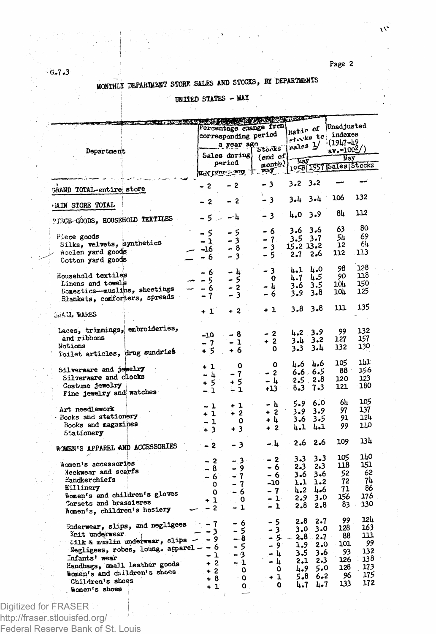Page 2

# MONTHLY DEPARTMENT STORE SALES AND STOCKS, BY DEPARTMENTS

## UNITED STATES - MAY

| <b>CONTRACTOR</b> CONTRACTOR                                  |                                                |                |                  |                                 |                 |                        |            |
|---------------------------------------------------------------|------------------------------------------------|----------------|------------------|---------------------------------|-----------------|------------------------|------------|
|                                                               |                                                |                |                  |                                 |                 | Unadjusted             |            |
|                                                               | Percentage change from<br>corresponding period |                |                  | hatic of<br>stocks to indexes   |                 |                        |            |
|                                                               |                                                |                |                  |                                 |                 | $(19h7 - h9)$          |            |
| Department                                                    |                                                | a year ago     | Stocks           | $_{\text{sales}}$ $\frac{1}{2}$ |                 | av.=100 <sup>2</sup> / |            |
|                                                               |                                                | Sales during   | $(end \space of$ |                                 |                 | Way                    |            |
|                                                               |                                                | period         | nonth)           | hay                             |                 | 1058 1957 Sales Stocks |            |
|                                                               |                                                |                | Mortune my + may |                                 |                 |                        |            |
| <b>GRAND TOTAL-entire store</b>                               | $-2$                                           | $-2$           | - 3              | $3.2 \t3.2$                     |                 |                        |            |
|                                                               | $-2$                                           | - 2            | - 3              | 3.4 3.4                         |                 | 106                    | 132        |
| <b>LAIN STORE TOTAL</b>                                       | $-5 - 4$                                       |                | - 3              | 4.03.9                          |                 | 84                     | 112        |
| PIECE COODS, HOUSEHOLD TEXTILES                               |                                                |                |                  |                                 | 3.6             | 63                     | 80         |
| Piece goods                                                   | - 5                                            | - 5            | - 6              | 3.6                             |                 | 54                     | 69         |
| Silks, velvets, synthetics                                    | - 1                                            | - 3            | - 7              | $3.5$ $3.7$                     |                 | 12                     | 64         |
| woolen yard goods                                             | -16                                            | - 8            | - 3              | 15.2 13.2                       |                 | 112                    | 113        |
| Cotton yard goods                                             | - 6                                            | - 3            | - 5              | $2 - 7$                         | 2.6             |                        |            |
|                                                               | - 6                                            | - հ            | - 3 -            | 4.1                             | 4.0             | 98                     | 128        |
| Household textiles                                            | - 5                                            | - 5            | o                | 4.7                             | 4.5             | 90                     | 118        |
| Linens and towels                                             | - 6                                            | 2<br>۰         | - և              | 3.6                             | 3.5             | 10h                    | 150        |
| Domestics-muslips, sheetings<br>Blankets, comforters, spreads | - 7                                            | - 3            | - 6              | 3.9                             | 3.8             | 104                    | 125        |
| <b>GRAIL WARES</b>                                            | + 1                                            | $+2$           | + 1              | 3.8                             | $3 - 8$         | ш                      | 135        |
|                                                               |                                                |                |                  |                                 |                 |                        |            |
| Laces, trimmings, embroideries,                               |                                                |                | - 2              | 4.2                             | 3.9             | 99                     | 132        |
| and ribbons                                                   | -10                                            | - 8<br>- 1     | $+2$             | $3 - 4$                         | $3 - 2$         | 127                    | 157        |
| Notions                                                       | - 7                                            |                | 0                | 3.3                             | 3.4             | 132                    | 130        |
| Toilet articles, drug sundries                                | + 5                                            | + 6            |                  |                                 |                 |                        |            |
|                                                               |                                                |                | O                | հ. 6                            | հ.6             | 105                    | ıш         |
| Silverware and jewelry                                        | $+1$                                           | O              | $-2$             |                                 | $6.6 \cdot 6.5$ | 88                     | 156        |
| Silverware and clocks                                         | - և                                            | 7              |                  | 2.5.                            | 2.8             | 120                    | 123        |
| Costume jewelry                                               | $+5$                                           | + 5            | - հ              | 8.3                             | 7.3             | 121                    | 180        |
| Fine jewelry and watches                                      | $-1$                                           | $-1$           | +13              |                                 |                 |                        |            |
|                                                               |                                                |                | - հ              | 5.9.                            | 6.0             | 6h                     | 105        |
| Art needlework                                                | $-1$                                           | + 1            | $\cdot$<br>$+2$  | 3.9                             | 3.9             | 97                     | 137        |
| Books and stationery                                          | $\div 1$                                       | $+2$           |                  | 3.6                             | 3.5             | 91.                    | 124        |
| Books and magazines                                           | - 1                                            | ٥              | + 4<br>$+2$      | 4.1                             | 4.1             | 99                     | פיוד       |
| Stationery                                                    | $+3$                                           | $+3$           |                  |                                 |                 |                        |            |
| WOMEN'S APPAREL AND ACCESSORIES                               | $-2$                                           | - 3            | – և              | 2.6                             | 2.6             | 109                    | 13h        |
|                                                               |                                                |                |                  | 3.3                             | 3.3             | 105                    | 140        |
| nomen's accessories                                           | - 2                                            | - 3 -          | - 2              |                                 | 2.3             | 118                    | 151        |
| Neckwear and scarfs                                           | - 8                                            | -9             | - 6              | 2.3<br>3.6                      | 3.6             | 52                     | 62         |
| Handkerchiefs                                                 | - 6                                            | 7              | - 6              |                                 | 1.2             | 72                     | 74         |
| Millinery                                                     | ٥                                              | - 7            | -10              | 1.1                             | հ.6             | 71                     | 86         |
| Women's and children's gloves                                 | ٥                                              | - 6            | - 7              | 4.2                             |                 | 156                    | 176        |
| Corsets and brassieres                                        | $+1$                                           | o              | - 1              | 2.9                             | 3.0             | 83                     | 130        |
| Women's, children's hosiery                                   | - 2                                            | - 1            | - 1              | 2.8                             | $2 - 8$         |                        |            |
| Underwear, slips, and negligees - - 7                         |                                                | - 6            | - 5              | 2.8                             | 2.7             | 99                     | 124<br>163 |
| Init underwear                                                | - 3                                            | - 5            | - 3              | 3.0                             | 3.0             | 128                    | ш          |
| Silk & muslin underwear, slips $-$ - 9                        |                                                | - 8            | - 5.             |                                 | $2.8 - 2.7$     | 88                     | 99         |
| Negligees, robes, loung. apparel - - 6                        |                                                | - 5            | - 9              | 1.9                             | 2.0             | 101                    |            |
| Infants' wear                                                 | $-1$                                           | - 3            | - 4              | 3.5                             | 3.6             | 93                     | 132        |
| Handbags, small leather goods                                 | $+2$                                           | $-1$           | - 4              | 2.1                             | $2 - 3$         | 126 -                  | 138        |
| Women's and children's shoes                                  | $+2$                                           | 0              | ٥                | 4.9                             | 5.0             | 128                    | 173        |
|                                                               | + 8                                            | ۰o             | + 1              | 5.8                             | 6.2             | 96                     | 175        |
| Children's shoes<br>Women's shoes                             | $+1$                                           | $\mathbf{0}$ . | ٥                | 4.7                             | 4.7             | 133                    | 172        |
|                                                               |                                                |                |                  |                                 |                 |                        |            |

Digitized for FRASER http://fraser.stlouisfed.org/ Federal Reserve Bank of St. Louis

 $-6.7.3$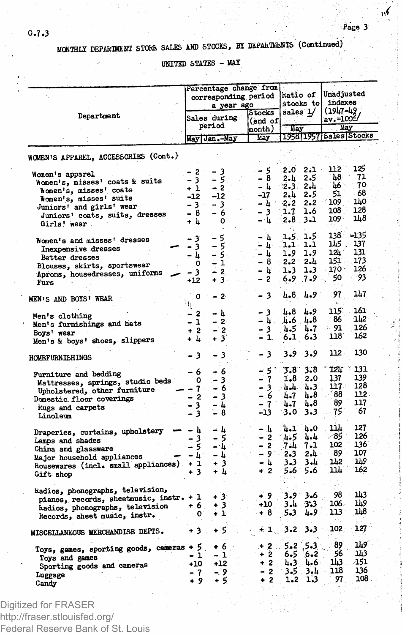$\sqrt{ }$ 

**Pase 3**

#### **MONTHLY DEPARTMENT STOKE SALES AND STOCKS, BY DEPARTMENTS (Continued)**

**UNITED STATES - MAY**

|                                                                                                                                                                                    |                                                  | Percentage change from<br>corresponding period<br>a year ago<br>Stocks |                                                                                       |                                                             | katio of<br>stocks to<br>sales 1/              |                                                             | Unadjusted<br>indexes<br>$(1947 - 49)$     |  |  |
|------------------------------------------------------------------------------------------------------------------------------------------------------------------------------------|--------------------------------------------------|------------------------------------------------------------------------|---------------------------------------------------------------------------------------|-------------------------------------------------------------|------------------------------------------------|-------------------------------------------------------------|--------------------------------------------|--|--|
| Department                                                                                                                                                                         | Sales during<br>period                           |                                                                        | (end of<br>month)                                                                     | <b>Hay</b><br>1958 1957 Sales Stocks                        |                                                | av.=1005<br>. May                                           |                                            |  |  |
|                                                                                                                                                                                    |                                                  | May Jan.-May                                                           | May                                                                                   |                                                             |                                                |                                                             |                                            |  |  |
| WOMEN'S APPAREL, ACCESSORIES (Cont.)                                                                                                                                               |                                                  |                                                                        |                                                                                       |                                                             |                                                |                                                             |                                            |  |  |
| Women's apparel<br>Women's, misses' coats & suits<br>women's, misses' coats<br>Women's, misses' suits<br>Juniors' and girls' wear<br>Juniors' coats, suits, dresses<br>Girls! wear | - 2<br>- 3<br>$+1$<br>$-12$<br>-31<br>- 8<br>+ 4 | - 3<br>$-5$<br>$-2$ <sup>2</sup><br>$-12$<br>- 3<br>- 6<br>0           | - 5<br>$-8$<br>- 4<br>$-17$<br>– և ∸<br>$\frac{-3}{4}$                                | 2.0.<br>2.1<br>2.3<br>2. L<br>$2 - 2$<br>1.7<br>2.8.        | $2.1 -$<br>2.5<br>2.4<br>2.5<br>1.6<br>$3.1 -$ | 112<br>48<br>1иб∴<br>51.<br>$2.2 - 109$<br>۰ 108<br>$109 -$ | 125<br>71<br>70<br>68<br>140<br>128<br>148 |  |  |
| Women's and misses' dresses<br>Inexpensive dresses<br>Better dresses<br>Blouses, skirts, sportswear<br>Aprons, housedresses, uniforms<br>Furs                                      | - 3<br>- 3<br>– հ<br>0<br>- 3<br>+12             | - 5<br>- 5<br>- 5.<br>$\frac{-1}{2}$<br>$+3.$                          | $-1$<br>≐ հ<br>$-1$<br>$-8$ 2.2<br>-և ա<br>$\overline{\phantom{0}}$<br>$\overline{2}$ | 1.5.<br><b>L.L</b><br>1.9<br>1.3 <sub>1</sub><br>6.9        | 1.5<br>1.1<br>1.9<br>2.և<br>1.3<br>$.7 - 9.$   | 138 ~135<br>145.<br>12h<br>151.<br>170 :<br>50              | 137<br>131<br>173<br>126<br>-93            |  |  |
| <b>MEN'S AND BOYS' WEAR</b>                                                                                                                                                        | 0<br>$\mathcal{V}$                               | $-2$                                                                   | $-3$                                                                                  | $4 - 8$                                                     | 4.9                                            | 97                                                          | 147                                        |  |  |
| Men's clothing<br>Men's furnishings and hats<br>Boys' wear<br>Men's & boys' shoes, slippers                                                                                        | $-2$<br>- 1<br>$+2$<br>+ ம்                      | - հ<br>$-2$<br>$-2$<br>+ 3                                             | - 3<br>- 4.<br>- 3<br>$-1$                                                            | 4.8<br>4.6<br>4.5<br>6.1                                    | 4.9<br>4.8<br>h. 7<br>6.3                      | 115<br>86<br>- 91<br>118                                    | 161<br>142<br>126<br>162                   |  |  |
| <b>HOMEFURNISHINGS</b>                                                                                                                                                             | - 3                                              | - 3                                                                    | - 3                                                                                   |                                                             | 3.9 3.9                                        | 112.                                                        | 130                                        |  |  |
| Furniture and bedding<br>Mattresses, springs, studio beds<br>Upholstered, other furniture<br>Domestic floor coverings<br>kugs and carpets<br>Linoleum                              | -6.<br>0<br>$-2$<br>$\frac{1}{2}$                | $-6$<br>$-3$<br>$-7 - 6$<br>$-3$<br>$-4$<br>$-8$                       | - 5'<br>$-7$<br>- 3<br>$-6$<br>$-7$<br>-13 -                                          | J.S.<br>1.8<br>4.7<br>$4 - 7$<br>ు.ం                        | 3.8<br>2.0<br>$4 - 4 - 3$<br>հ.8<br>4.8<br>3.3 | 12L I<br>137<br>117 -<br>88<br>89.<br>75                    | 131<br>139<br>128<br>112<br>117<br>67      |  |  |
| Draperies, curtains, upholstery<br>Lamps and shades<br>China and glassware<br>Major household appliances<br>Housewares (incl. small appliances) + 1<br>Gift shop                   | - 4<br>$\frac{-3}{5}$<br>$-1$<br>$+3$            | - և<br>- 5<br>– և<br>- 4<br>$+3$<br>+ L                                | - 4<br>$-2$<br>$-2$<br>- 900<br>$-h$<br>$+2$                                          | $4.1 + 0$<br>-1.5<br>7.1<br>$2 - 3$<br>3.3<br>$5.6^{\circ}$ | 4.4<br>7.1<br>2.4<br>3.4<br>5.6                | 114<br>∕85∶<br>102<br>89.<br>1h2.<br>`ىلاند                 | 127<br>126<br>136<br>107<br>Ш9<br>162      |  |  |
| kadios, phonographs, television,<br>pianos, records, sheetmusic, instr. + 1<br>hadios, phonographs, television<br>kecords, sheet music, instr.                                     | +6<br>$\cdot$ 0                                  | $+3$<br>+ 3<br>+ 1                                                     | + 9<br>+10<br>⊶ 8                                                                     | 3.9<br>∵ 1، 3<br>5.3                                        | $3 - 6$<br>3.3<br>4.9                          | 98 ⊹<br>106.<br>113.                                        | -113<br><u>149</u><br>148                  |  |  |
| MISCELLANEOUS MERCHANDISE DEPTS.                                                                                                                                                   | $+3.$                                            | + 5                                                                    | $-13.23.3$                                                                            |                                                             |                                                | 102                                                         | 127                                        |  |  |
| Toys, games, sporting goods, cameras + 5<br>Toys and games<br>Sporting goods and cameras<br>Luggage<br>Candy                                                                       | - 1<br>$+10$<br>- 7<br>+ 9                       | $+6.1$<br>- 1<br>$+12$<br>- 9<br>+ 5                                   | $+2.1$<br>$+2$<br>$+2$<br>$-2$<br>$+2$                                                | 6.5<br>$3.5^{\circ}$<br>$1 - 2$                             | $5 - 2$ $5 - 3$<br>6.2<br>և 3 և 6<br>3.4<br>13 | 89.<br>56<br>143.<br>118<br>97                              | 1h9<br>143<br>A51<br>136<br>108            |  |  |

Digitized for FRASER http://fraser.stlouisfed.org/ Federal Reserve Bank of St. Louis